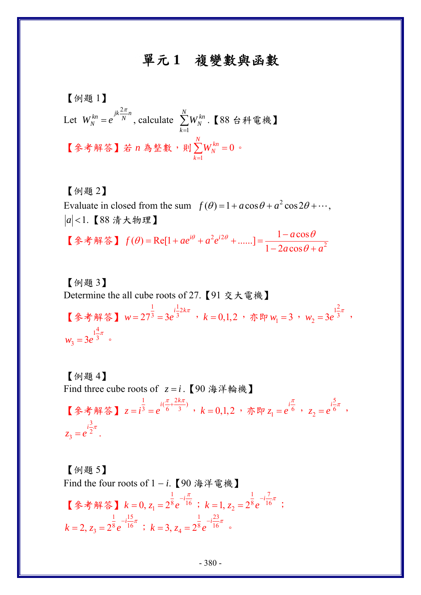## 單元 **1** 複變數與函數

[
$$
\bigotimes \text{H} \mathbb{E} \mathbb{1}
$$
]

\nLet  $W_N^{kn} = e^{jk\frac{2\pi}{N}n}$ , calculate  $\sum_{k=1}^{N} W_N^{kn}$ . [88,  $\bigoplus \text{H} \mathbb{E} \mathbb{H}$ ]

\n[ $\bigotimes \text{H} \mathbb{E} \mathbb{E} \mathbb{E} \mathbb{E} \mathbb{E} \mathbb{E} \mathbb{E} \mathbb{E} \mathbb{E} \mathbb{E} \mathbb{E} \mathbb{E} \mathbb{E} \mathbb{E} \mathbb{E} \mathbb{E} \mathbb{E} \mathbb{E} \mathbb{E} \mathbb{E} \mathbb{E} \mathbb{E} \mathbb{E} \mathbb{E} \mathbb{E} \mathbb{E} \mathbb{E} \mathbb{E} \mathbb{E} \mathbb{E} \mathbb{E} \mathbb{E} \mathbb{E} \mathbb{E} \mathbb{E} \mathbb{E} \mathbb{E} \mathbb{E} \mathbb{E} \mathbb{E} \mathbb{E} \mathbb{E} \mathbb{E} \mathbb{E} \mathbb{E} \mathbb{E} \mathbb{E} \mathbb{E} \mathbb{E} \mathbb{E} \mathbb{E} \mathbb{E} \mathbb{E} \mathbb{E} \mathbb{E} \mathbb{E} \mathbb{E} \mathbb{E} \mathbb{E} \mathbb{E} \mathbb{E} \mathbb{E} \mathbb{E} \mathbb{E} \mathbb{E} \mathbb{E} \mathbb{E} \mathbb{E} \mathbb{E} \mathbb{E} \mathbb{E} \mathbb{E} \mathbb{E} \mathbb{E} \mathbb{E} \mathbb{E} \mathbb{E} \mathbb{E} \mathbb{E} \mathbb{E} \mathbb{E} \mathbb{E} \mathbb{E} \mathbb{E} \mathbb{E} \mathbb{E} \mathbb{E} \mathbb{E} \mathbb{E} \mathbb{E} \mathbb{E} \mathbb{E} \mathbb{E} \mathbb{E} \mathbb{E} \mathbb{E} \mathbb{E} \mathbb{E} \mathbb{E} \mathbb{E} \mathbb{E} \mathbb{E} \mathbb{E} \mathbb{E} \mathbb{E} \mathbb{E} \mathbb{$ 

【例題 2】 Evaluate in closed from the sum  $f(\theta) = 1 + a\cos\theta + a^2\cos 2\theta + \cdots$ , *a* <1.【88 清大物理】 【参考解答】  $f(\theta) = \text{Re}[1 + ae^{i\theta} + a^2e^{i2\theta} + \dots] = \frac{1 - a\cos\theta}{1 - 2a\cos\theta + a^2}$  $\theta$  = Ref1 +  $ae^{i\theta}$  +  $a^2e^{i2\theta}$  + ......] =  $\frac{1 - a\cos\theta}{\sqrt{a^2- a^2}}$  $=$ Re[1 +  $ae^{i\theta}$  +  $a^2e^{i2\theta}$  + ......] =  $\frac{1 - a\cos\theta}{1 - 2a\cos\theta}$  +

 $a\cos\theta + a$ 

[例
$$
[M]
$$
 Determine the all cube roots of 27. [91 交大電機] \n[
$$
*\left(\frac{1}{2} + \frac{1}{2}k\pi\right) w = 27^{\frac{1}{3}} = 3e^{i\frac{1}{3}2k\pi} \cdot k = 0,1,2 \cdot \pi w
$$
\n
$$
w_1 = 3 \cdot w_2 = 3e^{i\frac{2}{3}\pi} \cdot w_3 = 3e^{i\frac{4}{3}\pi} \cdot
$$

【例題 4】 Find three cube roots of  $z = i$ . 【90 海洋輪機】 【參考解答】 $z = i^{\frac{1}{3}} = e^{i(\frac{\pi}{6} + \frac{2k\pi}{3})}$  $z = i^3 = e$  $\frac{\pi}{\pi} + \frac{2k\pi}{\pi}$  $= i^3 = e^{6i^3}$  ,  $k = 0, 1, 2$  , 亦即  $z_1 = e^{6i}$  $z_1 = e^{i\theta}$ π  $= e^{6}$ , 5  $e^e = e^e$  $z_2 = e^{i\frac{3}{6}\pi}$ , 3  $e^2 = e^2$  $z_3 = e^{i\frac{3}{2}\pi}$ .

【例題 5】 Find the four roots of 1 − *i*.【90 海洋電機】 【參考解答】 1  $k = 0, z_1 = 2^{\frac{1}{8}} e^{-i \frac{\pi}{16}}$  $-i\frac{\pi}{\pi}$  $= 0, z_1 = 2^8 e^{-16}$ ; 1 7  $k = 1, z_2 = 2^{\frac{1}{8}} e^{-i\frac{z}{16}\pi}$ ; 1 15  $k = 2, z_3 = 2^{\frac{1}{8}} e^{-i \frac{z}{16}\pi}$ ; 1 23  $k = 3, z_4 = 2^{\frac{1}{8}} e^{-i\frac{z^2}{16}\pi}$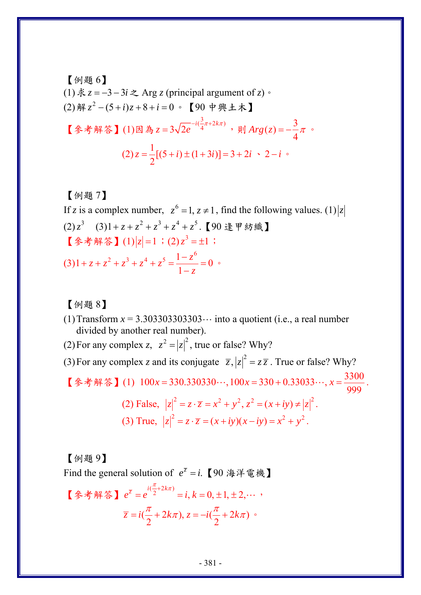\n
$$
\begin{aligned}\n &\text{[$\mathfrak{H}$, $\mathfrak{F}$, $\mathfrak{F}$, $\mathfrak{F}$, $\mathfrak{F}$, $\mathfrak{F}$, $\mathfrak{F}$, $\mathfrak{F}$, $\mathfrak{F}$, $\mathfrak{F}$, $\mathfrak{F}$, $\mathfrak{F}$, $\mathfrak{F}$, $\mathfrak{F}$, $\mathfrak{F}$, $\mathfrak{F}$, $\mathfrak{F}$, $\mathfrak{F}$, $\mathfrak{F}$, $\mathfrak{F}$, $\mathfrak{F}$, $\mathfrak{F}$, $\mathfrak{F}$, $\mathfrak{F}$, $\mathfrak{F}$, $\mathfrak{F}$, $\mathfrak{F}$, $\mathfrak{F}$, $\mathfrak{F}$, $\mathfrak{F}$, $\mathfrak{F}$, $\mathfrak{F}$, $\mathfrak{F}$, $\mathfrak{F}$, $\mathfrak{F}$, $\mathfrak{F}$, $\mathfrak{F}$, $\mathfrak{F}$, $\mathfrak{F}$, $\mathfrak{F}$, $\mathfrak{F}$, $\mathfrak{F}$, $\mathfrak{F}$, $\mathfrak{F}$, $\mathfrak{F}$, $\mathfrak{F}$, $\mathfrak{F}$, $\mathfrak{F}$, $\mathfrak{F}$, $\mathfrak{F}$, $\mathfrak{F}$, $\mathfrak{F}$, $\mathfrak{F}$, $\mathfrak{F}$, $\mathfrak{F}$, $\mathfrak{F}$, $\mathfrak{F}$, $\mathfrak{F}$, $\mathfrak{F}$, $\mathfrak{F}$, $\mathfrak{F}$, $\mathfrak{F}$, $\mathfrak{F}$, $\mathfrak{F}$, $\mathfrak{F}$, $\mathfrak{F}$, $\mathfrak{F}$, $\mathfrak{F}$, $\mathfrak{F}$, $\mathfrak{F}$, $\mathfrak{F}$, $\mathfrak{F}$, $\mathfrak{F}$, $\mathfrak{F}$, $\mathfrak{F}$, $\mathfrak{F}$, $\mathfrak{F}$, $\mathfrak{F}$, $\mathfrak{F}$, $\mathfrak{F}$, $\mathfrak{F}$, $\mathfrak{F}$, $\mathfrak{F}$, $\mathfrak{F}$, $\mathfrak{F}$, $\mathfrak{F}$, $\mathfrak{F}$, $\mathfrak{F}$, $\mathfrak{F}$, $\mathfrak{F}$, $\mathfrak{F}$, $\mathfrak{F}$, $\mathfrak{F}$,
$$

## 【例題 7】

If *z* is a complex number,  $z^6 = 1$ ,  $z \ne 1$ , find the following values. (1)  $|z|$  $(2) z<sup>3</sup>$   $(3) 1 + z + z<sup>2</sup> + z<sup>3</sup> + z<sup>4</sup> + z<sup>5</sup>$ .【90 逢甲紡織】 【參考解答】(1)  $|z|=1$ ; (2)  $z^3 = \pm 1$ ; (3)  $1 + z + z<sup>2</sup> + z<sup>3</sup> + z<sup>4</sup> + z<sup>5</sup> = \frac{1 - z<sup>6</sup>}{1 - z<sup>6</sup>} = 0$ 1 *z*  $z + z^2 + z^3 + z^4 + z$  $+ z + z<sup>2</sup> + z<sup>3</sup> + z<sup>4</sup> + z<sup>5</sup> = \frac{1 - z<sup>6</sup>}{1 - z} = 0$ 

【例題 8】

- (1) Transform  $x = 3.303303303303...$  into a quotient (i.e., a real number divided by another real number).
- (2) For any complex *z*,  $z^2 = |z|^2$ , true or false? Why?

(3) For any complex *z* and its conjugate  $\overline{z}$ ,  $|z|^2 = z\overline{z}$ . True or false? Why?

【参考解答】(1)  $100x = 330.330330...$ ,  $100x = 330 + 0.33033...$ ,  $x = \frac{3300}{999}$  $x = 330.330330...$ ,  $100x = 330 + 0.33033...$ ,  $x = \frac{3300}{0.00}$ .

(2) False, 
$$
|z|^2 = z \cdot \overline{z} = x^2 + y^2, z^2 = (x + iy) \ne |z|^2
$$
.  
(3) True,  $|z|^2 = z \cdot \overline{z} = (x + iy)(x - iy) = x^2 + y^2$ .

【例題 9】 Find the general solution of  $e^{\overline{z}} = i$ . 【90 海洋電機】 【參考解答】 $e^{\overline{z}} = e^{i(\frac{\pi}{2}+2k\pi)} = i, k = 0, \pm 1, \pm 2,$  $=e^{i2(2+i\pi i t)}=i, k=0, \pm 1, \pm 2, \cdots$  $(\frac{\pi}{2} + 2k\pi), z = -i(\frac{\pi}{2} + 2k\pi)$ 2  $\sim$  2  $\overline{z} = i(\frac{\pi}{2} + 2k\pi), z = -i(\frac{\pi}{2} + 2k\pi)$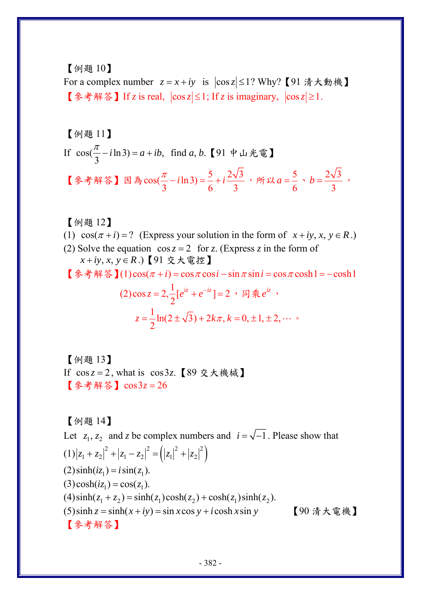【例題 10】

For a complex number  $z = x + iy$  is  $|\cos z| \leq 1$ ? Why? 【91 清大動機】 【參考解答】If *z* is real,  $|\cos z| \leq 1$ ; If *z* is imaginary,  $|\cos z| \geq 1$ .

【例題 11】 If  $cos(\frac{\pi}{3} - i \ln 3) = a + ib$ , find *a*, *b*.【91 中山光電】 【參考解答】因為 $cos(\frac{\pi}{3} - i\ln 3) = \frac{5}{6} + i\frac{2\sqrt{3}}{3}$ , 所以 $a = \frac{5}{6}$ 6  $a = \frac{5}{6}$  ·  $b = \frac{2\sqrt{3}}{2}$ 3  $b = \frac{\Delta V J}{2}$  .

【例題 12】

(1)  $\cos(\pi + i) = ?$  (Express your solution in the form of  $x + iy, x, y \in R$ .) (2) Solve the equation  $\cos z = 2$  for *z*. (Express *z* in the form of  $x + iy, x, y \in R$ .) 【91 交大電控】

**【参考解答】(1)cos(** $\pi$  **+ i) = cos** $\pi$ cos i − sin  $\pi$  sin i = cos $\pi$ cosh1 = − cosh1

(2) 
$$
\cos z = 2, \frac{1}{2} [e^{iz} + e^{-iz}] = 2
$$
,  $\overline{B} = e^{iz}$ ,  

$$
z = \frac{1}{2} \ln(2 \pm \sqrt{3}) + 2k\pi, k = 0, \pm 1, \pm 2, \cdots
$$

【例題 13】 If  $cos z = 2$ , what is  $cos 3z$ . 【89 交大機械】 【參考解答】cos3z = 26

【例題 14】 Let  $z_1, z_2$  and z be complex numbers and  $i = \sqrt{-1}$ . Please show that  $(1)|z_1 + z_2|^2 + |z_1 - z_2|^2 = (|z_1|^2 + |z_2|^2)$  $(2)$  sinh( $iz_1$ ) =  $i$  sin( $z_1$ ).  $(3) \cosh(iz_1) = \cos(z_1)$ .  $(4) \sinh(z_1 + z_2) = \sinh(z_1) \cosh(z_2) + \cosh(z_1) \sinh(z_2)$ . (5)sinh  $z = \sinh(x + iy) = \sin x \cos y + i \cosh x \sin y$  [90 清大電機] 【參考解答】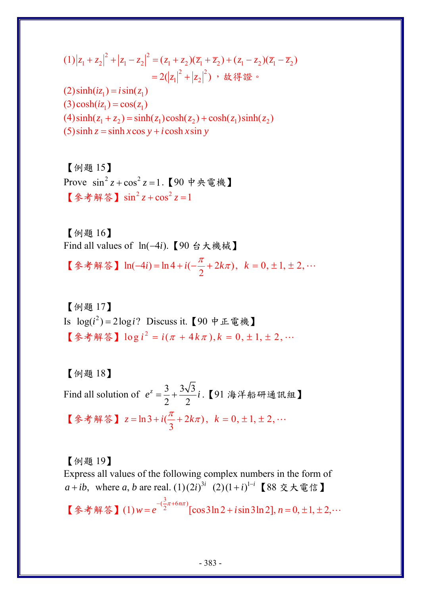$$
(1)|z_1 + z_2|^2 + |z_1 - z_2|^2 = (z_1 + z_2)(\overline{z}_1 + \overline{z}_2) + (z_1 - z_2)(\overline{z}_1 - \overline{z}_2)
$$
  
= 2(|z\_1|^2 + |z\_2|^2) , \text{ if } i \notin \mathbb{Z}^3  
(2) sinh(iz\_1) = i sin(z\_1)  
(3) cosh(iz\_1) = cos(z\_1)

 $(4) \sinh(z_1 + z_2) = \sinh(z_1) \cosh(z_2) + \cosh(z_1) \sinh(z_2)$ 

 $(5)$ sinh  $z = \sinh x \cos y + i \cosh x \sin y$ 

【例題 15】 Prove  $\sin^2 z + \cos^2 z = 1$  【90 中央雷機】 【參考解答】 $\sin^2 z + \cos^2 z = 1$ 

【例題 16】 Find all values of ln(-4*i*). 【90 台大機械】

【參考解答】ln(-4*i*) = ln 4 + *i*(- $\frac{\pi}{2}$  + 2*k*π), *k* = 0, ± 1, ± 2, …

【例題 17】 Is  $log(i^2) = 2log(i)$  Discuss it. 【90 中正電機】  $\left[$  參考解答】  $\log i^2 = i(\pi + 4k\pi), k = 0, \pm 1, \pm 2, \cdots$ 

【例題 18】

Find all solution of  $e^z = \frac{3}{2} + \frac{3\sqrt{3}}{2}$ 2 2  $e^{z} = \frac{3}{2} + \frac{3\sqrt{3}}{2}i$ . 【91 海洋船研通訊組】 【參考解答】  $z = \ln 3 + i(\frac{\pi}{3} + 2k\pi), k = 0, \pm 1, \pm 2, \cdots$ 

【例題 19】

Express all values of the following complex numbers in the form of *a* + *ib*, where *a*, *b* are real.  $(1)(2i)^{3i}$   $(2)(1+i)^{1-i}$  【88 交大電信】 【參考解答】(1)  $w = e^{-\left(\frac{3}{2}\pi + 6n\pi\right)} [\cos 3\ln 2 + i \sin 3\ln 2], n = 0, \pm 1, \pm 2, \cdots$